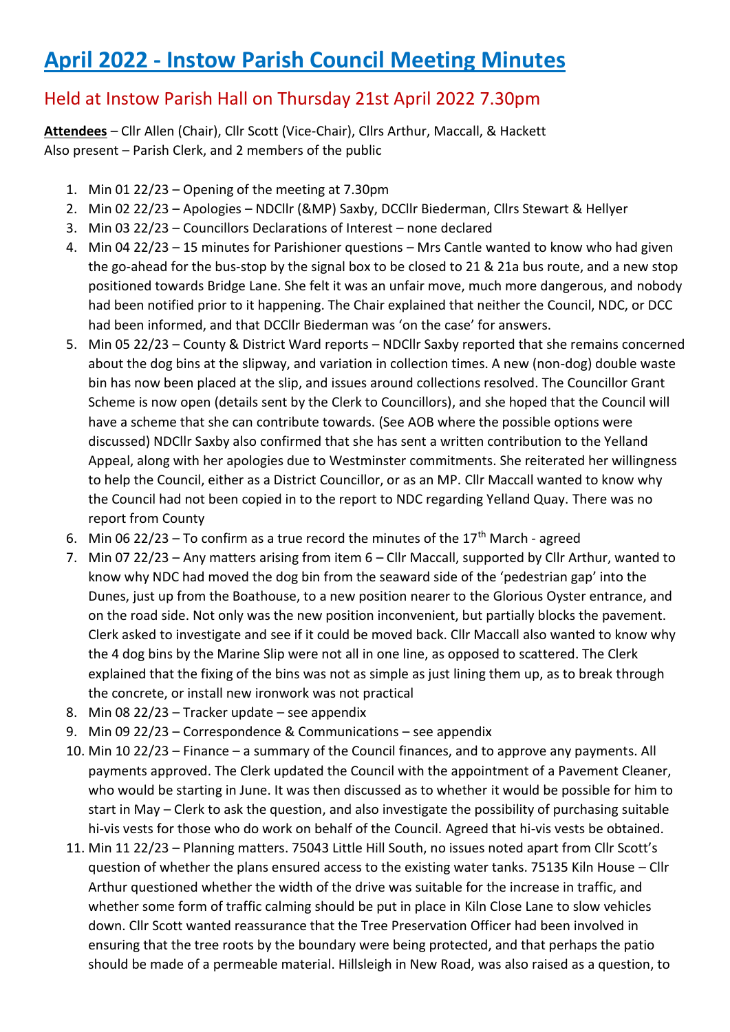# **April 2022 - Instow Parish Council Meeting Minutes**

## Held at Instow Parish Hall on Thursday 21st April 2022 7.30pm

**Attendees** – Cllr Allen (Chair), Cllr Scott (Vice-Chair), Cllrs Arthur, Maccall, & Hackett Also present – Parish Clerk, and 2 members of the public

- 1. Min 01 22/23 Opening of the meeting at 7.30pm
- 2. Min 02 22/23 Apologies NDCllr (&MP) Saxby, DCCllr Biederman, Cllrs Stewart & Hellyer
- 3. Min 03 22/23 Councillors Declarations of Interest none declared
- 4. Min 04 22/23 15 minutes for Parishioner questions Mrs Cantle wanted to know who had given the go-ahead for the bus-stop by the signal box to be closed to 21 & 21a bus route, and a new stop positioned towards Bridge Lane. She felt it was an unfair move, much more dangerous, and nobody had been notified prior to it happening. The Chair explained that neither the Council, NDC, or DCC had been informed, and that DCCllr Biederman was 'on the case' for answers.
- 5. Min 05 22/23 County & District Ward reports NDCllr Saxby reported that she remains concerned about the dog bins at the slipway, and variation in collection times. A new (non-dog) double waste bin has now been placed at the slip, and issues around collections resolved. The Councillor Grant Scheme is now open (details sent by the Clerk to Councillors), and she hoped that the Council will have a scheme that she can contribute towards. (See AOB where the possible options were discussed) NDCllr Saxby also confirmed that she has sent a written contribution to the Yelland Appeal, along with her apologies due to Westminster commitments. She reiterated her willingness to help the Council, either as a District Councillor, or as an MP. Cllr Maccall wanted to know why the Council had not been copied in to the report to NDC regarding Yelland Quay. There was no report from County
- 6. Min 06 22/23 To confirm as a true record the minutes of the  $17<sup>th</sup>$  March agreed
- 7. Min 07 22/23 Any matters arising from item 6 Cllr Maccall, supported by Cllr Arthur, wanted to know why NDC had moved the dog bin from the seaward side of the 'pedestrian gap' into the Dunes, just up from the Boathouse, to a new position nearer to the Glorious Oyster entrance, and on the road side. Not only was the new position inconvenient, but partially blocks the pavement. Clerk asked to investigate and see if it could be moved back. Cllr Maccall also wanted to know why the 4 dog bins by the Marine Slip were not all in one line, as opposed to scattered. The Clerk explained that the fixing of the bins was not as simple as just lining them up, as to break through the concrete, or install new ironwork was not practical
- 8. Min 08 22/23 Tracker update see appendix
- 9. Min 09 22/23 Correspondence & Communications see appendix
- 10. Min 10 22/23 Finance a summary of the Council finances, and to approve any payments. All payments approved. The Clerk updated the Council with the appointment of a Pavement Cleaner, who would be starting in June. It was then discussed as to whether it would be possible for him to start in May – Clerk to ask the question, and also investigate the possibility of purchasing suitable hi-vis vests for those who do work on behalf of the Council. Agreed that hi-vis vests be obtained.
- 11. Min 11 22/23 Planning matters. 75043 Little Hill South, no issues noted apart from Cllr Scott's question of whether the plans ensured access to the existing water tanks. 75135 Kiln House – Cllr Arthur questioned whether the width of the drive was suitable for the increase in traffic, and whether some form of traffic calming should be put in place in Kiln Close Lane to slow vehicles down. Cllr Scott wanted reassurance that the Tree Preservation Officer had been involved in ensuring that the tree roots by the boundary were being protected, and that perhaps the patio should be made of a permeable material. Hillsleigh in New Road, was also raised as a question, to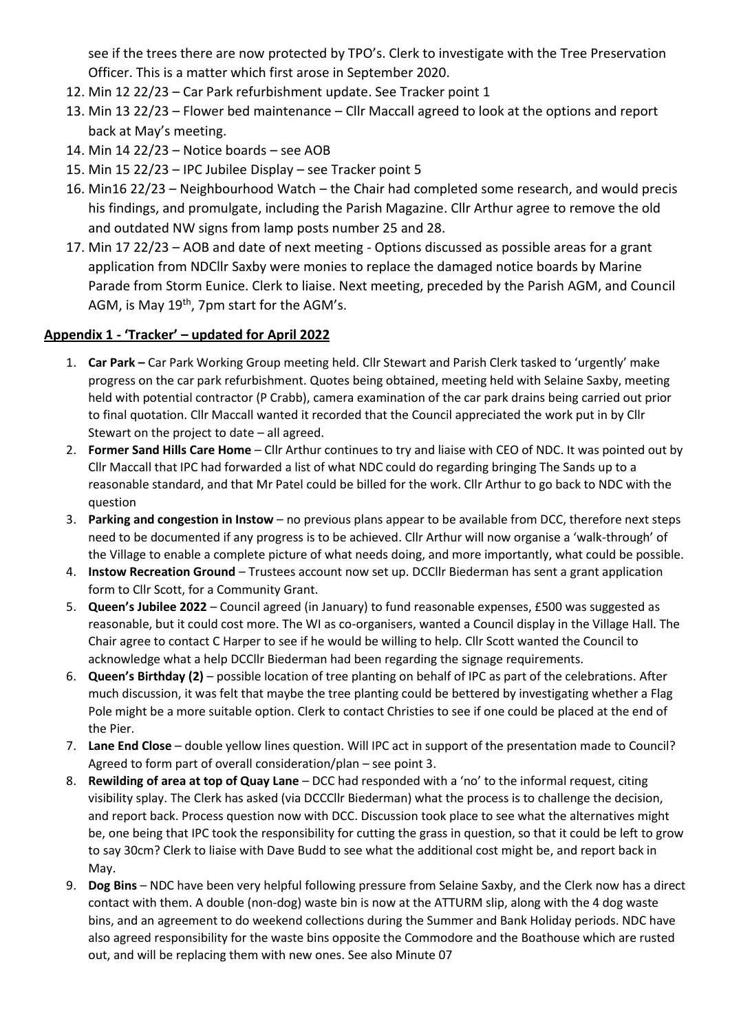see if the trees there are now protected by TPO's. Clerk to investigate with the Tree Preservation Officer. This is a matter which first arose in September 2020.

- 12. Min 12 22/23 Car Park refurbishment update. See Tracker point 1
- 13. Min 13 22/23 Flower bed maintenance Cllr Maccall agreed to look at the options and report back at May's meeting.
- 14. Min 14 22/23 Notice boards see AOB
- 15. Min 15 22/23 IPC Jubilee Display see Tracker point 5
- 16. Min16 22/23 Neighbourhood Watch the Chair had completed some research, and would precis his findings, and promulgate, including the Parish Magazine. Cllr Arthur agree to remove the old and outdated NW signs from lamp posts number 25 and 28.
- 17. Min 17 22/23 AOB and date of next meeting Options discussed as possible areas for a grant application from NDCllr Saxby were monies to replace the damaged notice boards by Marine Parade from Storm Eunice. Clerk to liaise. Next meeting, preceded by the Parish AGM, and Council AGM, is May 19<sup>th</sup>, 7pm start for the AGM's.

### **Appendix 1 - 'Tracker' – updated for April 2022**

- 1. **Car Park –** Car Park Working Group meeting held. Cllr Stewart and Parish Clerk tasked to 'urgently' make progress on the car park refurbishment. Quotes being obtained, meeting held with Selaine Saxby, meeting held with potential contractor (P Crabb), camera examination of the car park drains being carried out prior to final quotation. Cllr Maccall wanted it recorded that the Council appreciated the work put in by Cllr Stewart on the project to date – all agreed.
- 2. **Former Sand Hills Care Home** Cllr Arthur continues to try and liaise with CEO of NDC. It was pointed out by Cllr Maccall that IPC had forwarded a list of what NDC could do regarding bringing The Sands up to a reasonable standard, and that Mr Patel could be billed for the work. Cllr Arthur to go back to NDC with the question
- 3. **Parking and congestion in Instow**  no previous plans appear to be available from DCC, therefore next steps need to be documented if any progress is to be achieved. Cllr Arthur will now organise a 'walk-through' of the Village to enable a complete picture of what needs doing, and more importantly, what could be possible.
- 4. **Instow Recreation Ground**  Trustees account now set up. DCCllr Biederman has sent a grant application form to Cllr Scott, for a Community Grant.
- 5. **Queen's Jubilee 2022** Council agreed (in January) to fund reasonable expenses, £500 was suggested as reasonable, but it could cost more. The WI as co-organisers, wanted a Council display in the Village Hall. The Chair agree to contact C Harper to see if he would be willing to help. Cllr Scott wanted the Council to acknowledge what a help DCCllr Biederman had been regarding the signage requirements.
- 6. **Queen's Birthday (2)** possible location of tree planting on behalf of IPC as part of the celebrations. After much discussion, it was felt that maybe the tree planting could be bettered by investigating whether a Flag Pole might be a more suitable option. Clerk to contact Christies to see if one could be placed at the end of the Pier.
- 7. **Lane End Close**  double yellow lines question. Will IPC act in support of the presentation made to Council? Agreed to form part of overall consideration/plan – see point 3.
- 8. **Rewilding of area at top of Quay Lane**  DCC had responded with a 'no' to the informal request, citing visibility splay. The Clerk has asked (via DCCCllr Biederman) what the process is to challenge the decision, and report back. Process question now with DCC. Discussion took place to see what the alternatives might be, one being that IPC took the responsibility for cutting the grass in question, so that it could be left to grow to say 30cm? Clerk to liaise with Dave Budd to see what the additional cost might be, and report back in May.
- 9. **Dog Bins**  NDC have been very helpful following pressure from Selaine Saxby, and the Clerk now has a direct contact with them. A double (non-dog) waste bin is now at the ATTURM slip, along with the 4 dog waste bins, and an agreement to do weekend collections during the Summer and Bank Holiday periods. NDC have also agreed responsibility for the waste bins opposite the Commodore and the Boathouse which are rusted out, and will be replacing them with new ones. See also Minute 07